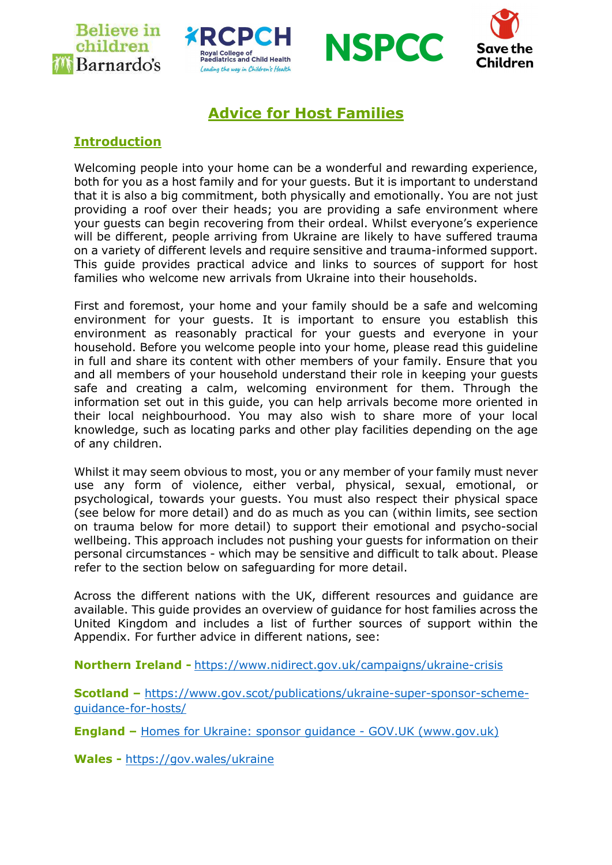







# Advice for Host Families

## **Introduction**

Welcoming people into your home can be a wonderful and rewarding experience, both for you as a host family and for your guests. But it is important to understand that it is also a big commitment, both physically and emotionally. You are not just providing a roof over their heads; you are providing a safe environment where your guests can begin recovering from their ordeal. Whilst everyone's experience will be different, people arriving from Ukraine are likely to have suffered trauma on a variety of different levels and require sensitive and trauma-informed support. This guide provides practical advice and links to sources of support for host families who welcome new arrivals from Ukraine into their households.

First and foremost, your home and your family should be a safe and welcoming environment for your guests. It is important to ensure you establish this environment as reasonably practical for your guests and everyone in your household. Before you welcome people into your home, please read this guideline in full and share its content with other members of your family. Ensure that you and all members of your household understand their role in keeping your guests safe and creating a calm, welcoming environment for them. Through the information set out in this guide, you can help arrivals become more oriented in their local neighbourhood. You may also wish to share more of your local knowledge, such as locating parks and other play facilities depending on the age of any children.

Whilst it may seem obvious to most, you or any member of your family must never use any form of violence, either verbal, physical, sexual, emotional, or psychological, towards your guests. You must also respect their physical space (see below for more detail) and do as much as you can (within limits, see section on trauma below for more detail) to support their emotional and psycho-social wellbeing. This approach includes not pushing your guests for information on their personal circumstances - which may be sensitive and difficult to talk about. Please refer to the section below on safeguarding for more detail.

Across the different nations with the UK, different resources and guidance are available. This guide provides an overview of guidance for host families across the United Kingdom and includes a list of further sources of support within the Appendix. For further advice in different nations, see:

Northern Ireland - https://www.nidirect.gov.uk/campaigns/ukraine-crisis

Scotland – https://www.gov.scot/publications/ukraine-super-sponsor-schemeguidance-for-hosts/

England – Homes for Ukraine: sponsor guidance - GOV.UK (www.gov.uk)

Wales - https://gov.wales/ukraine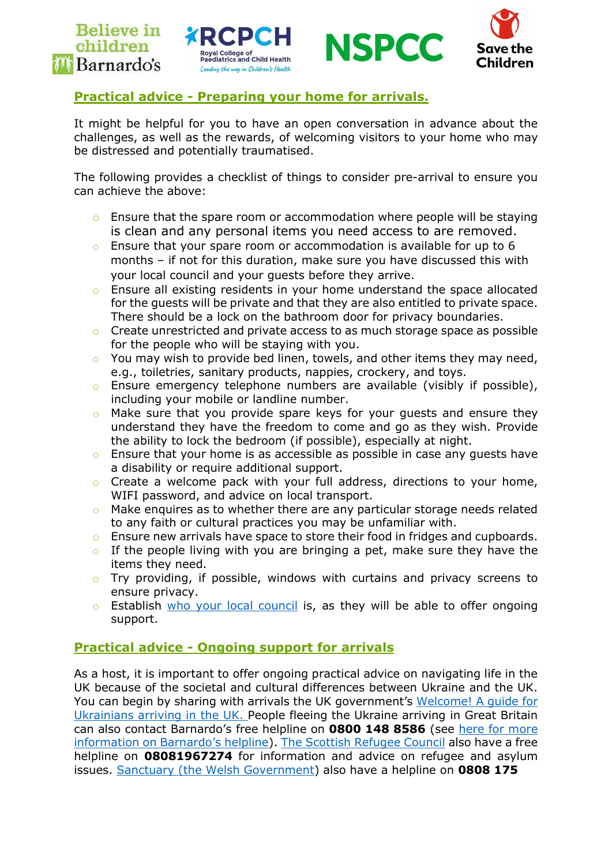



## Practical advice - Preparing your home for arrivals.

It might be helpful for you to have an open conversation in advance about the challenges, as well as the rewards, of welcoming visitors to your home who may be distressed and potentially traumatised.

The following provides a checklist of things to consider pre-arrival to ensure you can achieve the above:

- o Ensure that the spare room or accommodation where people will be staying is clean and any personal items you need access to are removed.
- $\circ$  Ensure that your spare room or accommodation is available for up to 6 months – if not for this duration, make sure you have discussed this with your local council and your guests before they arrive.
- o Ensure all existing residents in your home understand the space allocated for the guests will be private and that they are also entitled to private space. There should be a lock on the bathroom door for privacy boundaries.
- Create unrestricted and private access to as much storage space as possible for the people who will be staying with you.
- $\circ$  You may wish to provide bed linen, towels, and other items they may need, e.g., toiletries, sanitary products, nappies, crockery, and toys.
- $\circ$  Ensure emergency telephone numbers are available (visibly if possible), including your mobile or landline number.
- o Make sure that you provide spare keys for your guests and ensure they understand they have the freedom to come and go as they wish. Provide the ability to lock the bedroom (if possible), especially at night.
- Ensure that your home is as accessible as possible in case any guests have a disability or require additional support.
- o Create a welcome pack with your full address, directions to your home, WIFI password, and advice on local transport.
- Make enquires as to whether there are any particular storage needs related to any faith or cultural practices you may be unfamiliar with.
- $\circ$  Ensure new arrivals have space to store their food in fridges and cupboards.
- $\circ$  If the people living with you are bringing a pet, make sure they have the items they need.
- $\circ$  Try providing, if possible, windows with curtains and privacy screens to ensure privacy.
- o Establish who your local council is, as they will be able to offer ongoing support.

## Practical advice - Ongoing support for arrivals

As a host, it is important to offer ongoing practical advice on navigating life in the UK because of the societal and cultural differences between Ukraine and the UK. You can begin by sharing with arrivals the UK government's Welcome! A guide for Ukrainians arriving in the UK. People fleeing the Ukraine arriving in Great Britain can also contact Barnardo's free helpline on 0800 148 8586 (see here for more information on Barnardo's helpline). The Scottish Refugee Council also have a free helpline on 08081967274 for information and advice on refugee and asylum issues. Sanctuary (the Welsh Government) also have a helpline on 0808 175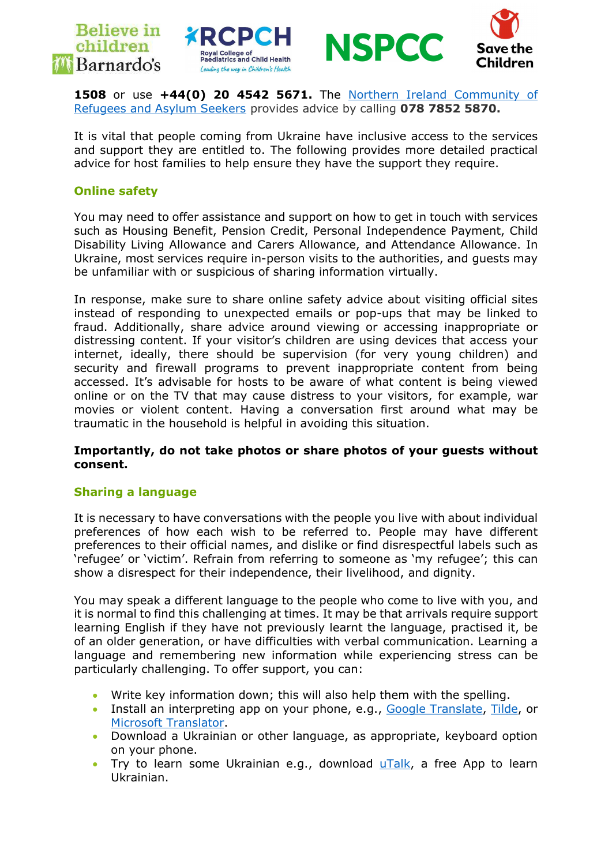





1508 or use +44(0) 20 4542 5671. The Northern Ireland Community of Refugees and Asylum Seekers provides advice by calling 078 7852 5870.

It is vital that people coming from Ukraine have inclusive access to the services and support they are entitled to. The following provides more detailed practical advice for host families to help ensure they have the support they require.

#### Online safety

You may need to offer assistance and support on how to get in touch with services such as Housing Benefit, Pension Credit, Personal Independence Payment, Child Disability Living Allowance and Carers Allowance, and Attendance Allowance. In Ukraine, most services require in-person visits to the authorities, and guests may be unfamiliar with or suspicious of sharing information virtually.

In response, make sure to share online safety advice about visiting official sites instead of responding to unexpected emails or pop-ups that may be linked to fraud. Additionally, share advice around viewing or accessing inappropriate or distressing content. If your visitor's children are using devices that access your internet, ideally, there should be supervision (for very young children) and security and firewall programs to prevent inappropriate content from being accessed. It's advisable for hosts to be aware of what content is being viewed online or on the TV that may cause distress to your visitors, for example, war movies or violent content. Having a conversation first around what may be traumatic in the household is helpful in avoiding this situation.

#### Importantly, do not take photos or share photos of your guests without consent.

#### Sharing a language

It is necessary to have conversations with the people you live with about individual preferences of how each wish to be referred to. People may have different preferences to their official names, and dislike or find disrespectful labels such as 'refugee' or 'victim'. Refrain from referring to someone as 'my refugee'; this can show a disrespect for their independence, their livelihood, and dignity.

You may speak a different language to the people who come to live with you, and it is normal to find this challenging at times. It may be that arrivals require support learning English if they have not previously learnt the language, practised it, be of an older generation, or have difficulties with verbal communication. Learning a language and remembering new information while experiencing stress can be particularly challenging. To offer support, you can:

- Write key information down; this will also help them with the spelling.
- Install an interpreting app on your phone, e.g., Google Translate, Tilde, or Microsoft Translator.
- Download a Ukrainian or other language, as appropriate, keyboard option on your phone.
- Try to learn some Ukrainian e.g., download  $\mu$ Talk, a free App to learn Ukrainian.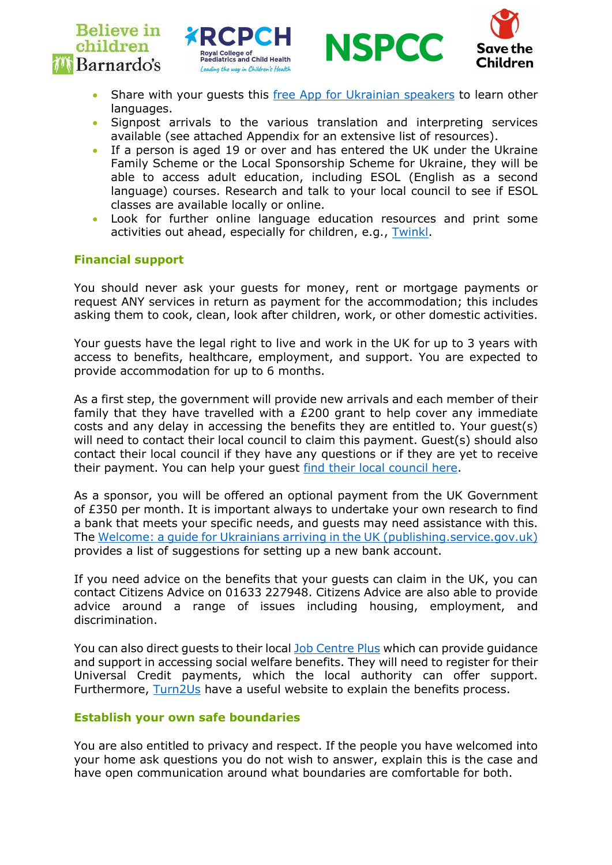





- Share with your guests this free App for Ukrainian speakers to learn other languages.
- Signpost arrivals to the various translation and interpreting services available (see attached Appendix for an extensive list of resources).
- If a person is aged 19 or over and has entered the UK under the Ukraine Family Scheme or the Local Sponsorship Scheme for Ukraine, they will be able to access adult education, including ESOL (English as a second language) courses. Research and talk to your local council to see if ESOL classes are available locally or online.
- Look for further online language education resources and print some activities out ahead, especially for children, e.g., Twinkl.

#### Financial support

You should never ask your guests for money, rent or mortgage payments or request ANY services in return as payment for the accommodation; this includes asking them to cook, clean, look after children, work, or other domestic activities.

Your guests have the legal right to live and work in the UK for up to 3 years with access to benefits, healthcare, employment, and support. You are expected to provide accommodation for up to 6 months.

As a first step, the government will provide new arrivals and each member of their family that they have travelled with a £200 grant to help cover any immediate costs and any delay in accessing the benefits they are entitled to. Your guest(s) will need to contact their local council to claim this payment. Guest(s) should also contact their local council if they have any questions or if they are yet to receive their payment. You can help your guest find their local council here.

As a sponsor, you will be offered an optional payment from the UK Government of £350 per month. It is important always to undertake your own research to find a bank that meets your specific needs, and guests may need assistance with this. The Welcome: a guide for Ukrainians arriving in the UK (publishing.service.gov.uk) provides a list of suggestions for setting up a new bank account.

If you need advice on the benefits that your guests can claim in the UK, you can contact Citizens Advice on 01633 227948. Citizens Advice are also able to provide advice around a range of issues including housing, employment, and discrimination.

You can also direct guests to their local Job Centre Plus which can provide guidance and support in accessing social welfare benefits. They will need to register for their Universal Credit payments, which the local authority can offer support. Furthermore, Turn2Us have a useful website to explain the benefits process.

#### Establish your own safe boundaries

You are also entitled to privacy and respect. If the people you have welcomed into your home ask questions you do not wish to answer, explain this is the case and have open communication around what boundaries are comfortable for both.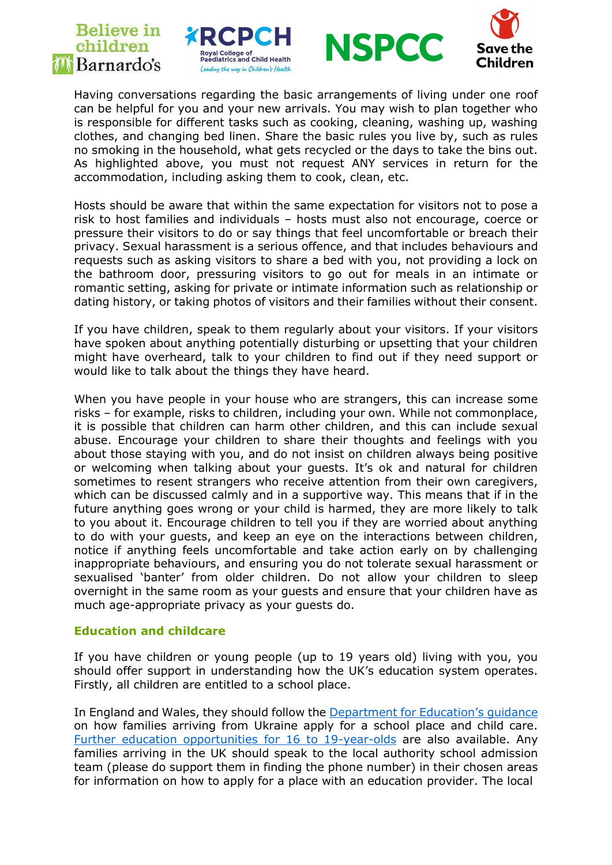# **Believe** in children *M* Barnardo's





Having conversations regarding the basic arrangements of living under one roof can be helpful for you and your new arrivals. You may wish to plan together who is responsible for different tasks such as cooking, cleaning, washing up, washing clothes, and changing bed linen. Share the basic rules you live by, such as rules no smoking in the household, what gets recycled or the days to take the bins out. As highlighted above, you must not request ANY services in return for the accommodation, including asking them to cook, clean, etc.

Hosts should be aware that within the same expectation for visitors not to pose a risk to host families and individuals – hosts must also not encourage, coerce or pressure their visitors to do or say things that feel uncomfortable or breach their privacy. Sexual harassment is a serious offence, and that includes behaviours and requests such as asking visitors to share a bed with you, not providing a lock on the bathroom door, pressuring visitors to go out for meals in an intimate or romantic setting, asking for private or intimate information such as relationship or dating history, or taking photos of visitors and their families without their consent.

If you have children, speak to them regularly about your visitors. If your visitors have spoken about anything potentially disturbing or upsetting that your children might have overheard, talk to your children to find out if they need support or would like to talk about the things they have heard.

When you have people in your house who are strangers, this can increase some risks – for example, risks to children, including your own. While not commonplace, it is possible that children can harm other children, and this can include sexual abuse. Encourage your children to share their thoughts and feelings with you about those staying with you, and do not insist on children always being positive or welcoming when talking about your guests. It's ok and natural for children sometimes to resent strangers who receive attention from their own caregivers, which can be discussed calmly and in a supportive way. This means that if in the future anything goes wrong or your child is harmed, they are more likely to talk to you about it. Encourage children to tell you if they are worried about anything to do with your guests, and keep an eye on the interactions between children, notice if anything feels uncomfortable and take action early on by challenging inappropriate behaviours, and ensuring you do not tolerate sexual harassment or sexualised 'banter' from older children. Do not allow your children to sleep overnight in the same room as your guests and ensure that your children have as much age-appropriate privacy as your guests do.

#### Education and childcare

If you have children or young people (up to 19 years old) living with you, you should offer support in understanding how the UK's education system operates. Firstly, all children are entitled to a school place.

In England and Wales, they should follow the Department for Education's guidance on how families arriving from Ukraine apply for a school place and child care. Further education opportunities for 16 to 19-year-olds are also available. Any families arriving in the UK should speak to the local authority school admission team (please do support them in finding the phone number) in their chosen areas for information on how to apply for a place with an education provider. The local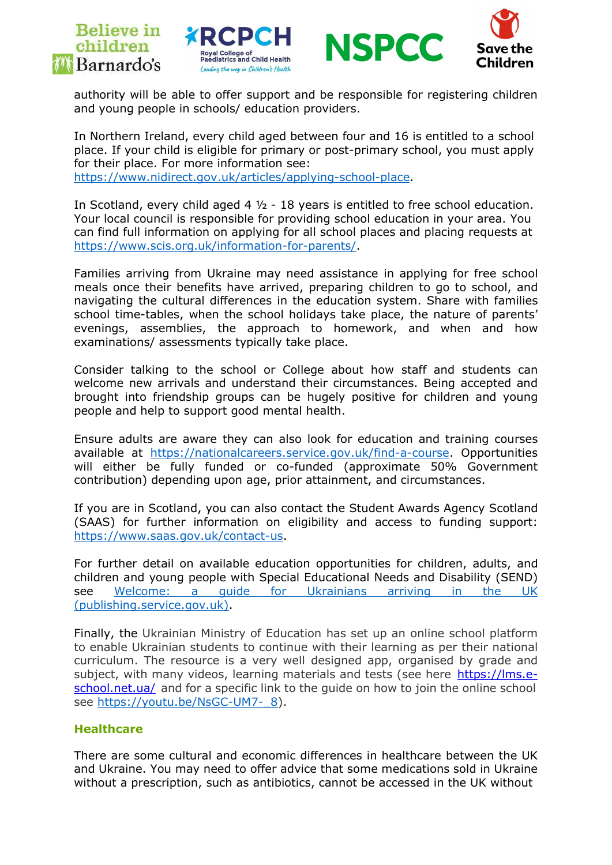





authority will be able to offer support and be responsible for registering children and young people in schools/ education providers.

In Northern Ireland, every child aged between four and 16 is entitled to a school place. If your child is eligible for primary or post-primary school, you must apply for their place. For more information see:

https://www.nidirect.gov.uk/articles/applying-school-place.

In Scotland, every child aged 4 ½ - 18 years is entitled to free school education. Your local council is responsible for providing school education in your area. You can find full information on applying for all school places and placing requests at https://www.scis.org.uk/information-for-parents/.

Families arriving from Ukraine may need assistance in applying for free school meals once their benefits have arrived, preparing children to go to school, and navigating the cultural differences in the education system. Share with families school time-tables, when the school holidays take place, the nature of parents' evenings, assemblies, the approach to homework, and when and how examinations/ assessments typically take place.

Consider talking to the school or College about how staff and students can welcome new arrivals and understand their circumstances. Being accepted and brought into friendship groups can be hugely positive for children and young people and help to support good mental health.

Ensure adults are aware they can also look for education and training courses available at https://nationalcareers.service.gov.uk/find-a-course. Opportunities will either be fully funded or co-funded (approximate 50% Government contribution) depending upon age, prior attainment, and circumstances.

If you are in Scotland, you can also contact the Student Awards Agency Scotland (SAAS) for further information on eligibility and access to funding support: https://www.saas.gov.uk/contact-us.

For further detail on available education opportunities for children, adults, and children and young people with Special Educational Needs and Disability (SEND) see Welcome: a guide for Ukrainians arriving in the UK (publishing.service.gov.uk).

Finally, the Ukrainian Ministry of Education has set up an online school platform to enable Ukrainian students to continue with their learning as per their national curriculum. The resource is a very well designed app, organised by grade and subject, with many videos, learning materials and tests (see here https://lms.eschool.net.ua/ and for a specific link to the guide on how to join the online school see https://youtu.be/NsGC-UM7- 8).

#### **Healthcare**

There are some cultural and economic differences in healthcare between the UK and Ukraine. You may need to offer advice that some medications sold in Ukraine without a prescription, such as antibiotics, cannot be accessed in the UK without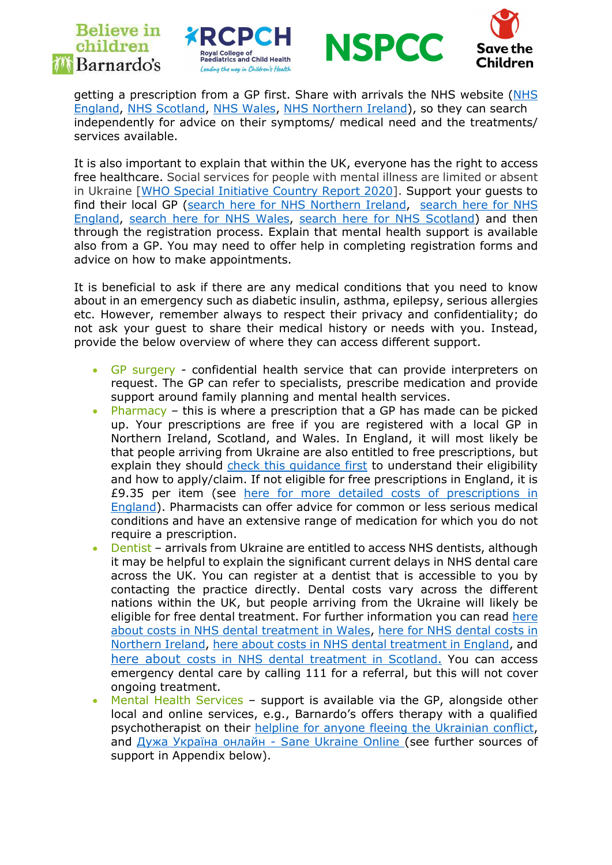# **Believe in** children *MBarnardo's*







getting a prescription from a GP first. Share with arrivals the NHS website (NHS England, NHS Scotland, NHS Wales, NHS Northern Ireland), so they can search independently for advice on their symptoms/ medical need and the treatments/ services available.

It is also important to explain that within the UK, everyone has the right to access free healthcare. Social services for people with mental illness are limited or absent in Ukraine [WHO Special Initiative Country Report 2020]. Support your guests to find their local GP (search here for NHS Northern Ireland, search here for NHS England, search here for NHS Wales, search here for NHS Scotland) and then through the registration process. Explain that mental health support is available also from a GP. You may need to offer help in completing registration forms and advice on how to make appointments.

It is beneficial to ask if there are any medical conditions that you need to know about in an emergency such as diabetic insulin, asthma, epilepsy, serious allergies etc. However, remember always to respect their privacy and confidentiality; do not ask your guest to share their medical history or needs with you. Instead, provide the below overview of where they can access different support.

- GP surgery confidential health service that can provide interpreters on request. The GP can refer to specialists, prescribe medication and provide support around family planning and mental health services.
- Pharmacy this is where a prescription that a GP has made can be picked up. Your prescriptions are free if you are registered with a local GP in Northern Ireland, Scotland, and Wales. In England, it will most likely be that people arriving from Ukraine are also entitled to free prescriptions, but explain they should check this quidance first to understand their eligibility and how to apply/claim. If not eligible for free prescriptions in England, it is £9.35 per item (see here for more detailed costs of prescriptions in England). Pharmacists can offer advice for common or less serious medical conditions and have an extensive range of medication for which you do not require a prescription.
- Dentist arrivals from Ukraine are entitled to access NHS dentists, although it may be helpful to explain the significant current delays in NHS dental care across the UK. You can register at a dentist that is accessible to you by contacting the practice directly. Dental costs vary across the different nations within the UK, but people arriving from the Ukraine will likely be eligible for free dental treatment. For further information you can read here about costs in NHS dental treatment in Wales, here for NHS dental costs in Northern Ireland, here about costs in NHS dental treatment in England, and here about costs in NHS dental treatment in Scotland. You can access emergency dental care by calling 111 for a referral, but this will not cover ongoing treatment.
- Mental Health Services support is available via the GP, alongside other local and online services, e.g., Barnardo's offers therapy with a qualified psychotherapist on their helpline for anyone fleeing the Ukrainian conflict, and Дужа Україна онлайн - Sane Ukraine Online (see further sources of support in Appendix below).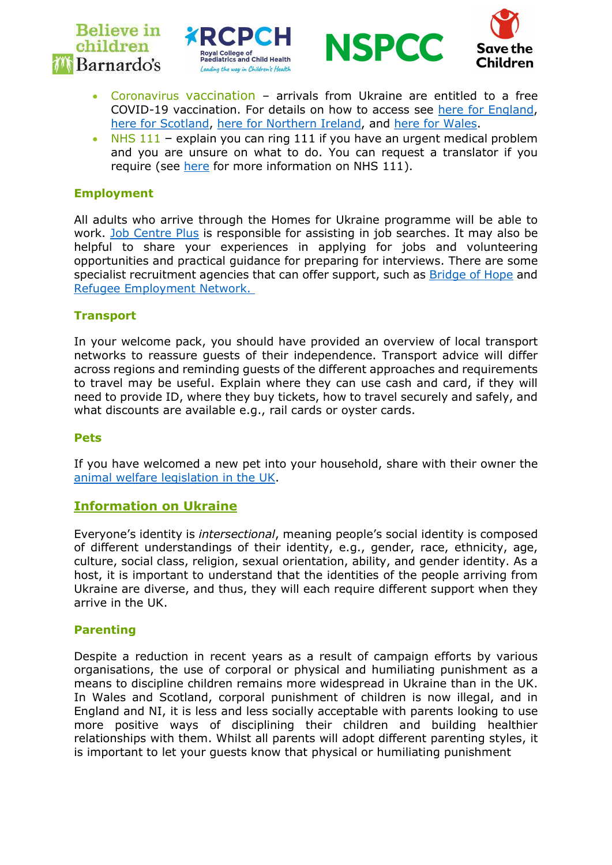







- Coronavirus vaccination arrivals from Ukraine are entitled to a free COVID-19 vaccination. For details on how to access see here for England, here for Scotland, here for Northern Ireland, and here for Wales.
- NHS 111 explain you can ring 111 if you have an urgent medical problem and you are unsure on what to do. You can request a translator if you require (see here for more information on NHS 111).

### Employment

All adults who arrive through the Homes for Ukraine programme will be able to work. Job Centre Plus is responsible for assisting in job searches. It may also be helpful to share your experiences in applying for jobs and volunteering opportunities and practical guidance for preparing for interviews. There are some specialist recruitment agencies that can offer support, such as **Bridge of Hope** and Refugee Employment Network.

### **Transport**

In your welcome pack, you should have provided an overview of local transport networks to reassure guests of their independence. Transport advice will differ across regions and reminding guests of the different approaches and requirements to travel may be useful. Explain where they can use cash and card, if they will need to provide ID, where they buy tickets, how to travel securely and safely, and what discounts are available e.g., rail cards or oyster cards.

#### Pets

If you have welcomed a new pet into your household, share with their owner the animal welfare legislation in the UK.

#### Information on Ukraine

Everyone's identity is intersectional, meaning people's social identity is composed of different understandings of their identity, e.g., gender, race, ethnicity, age, culture, social class, religion, sexual orientation, ability, and gender identity. As a host, it is important to understand that the identities of the people arriving from Ukraine are diverse, and thus, they will each require different support when they arrive in the UK.

#### **Parenting**

Despite a reduction in recent years as a result of campaign efforts by various organisations, the use of corporal or physical and humiliating punishment as a means to discipline children remains more widespread in Ukraine than in the UK. In Wales and Scotland, corporal punishment of children is now illegal, and in England and NI, it is less and less socially acceptable with parents looking to use more positive ways of disciplining their children and building healthier relationships with them. Whilst all parents will adopt different parenting styles, it is important to let your guests know that physical or humiliating punishment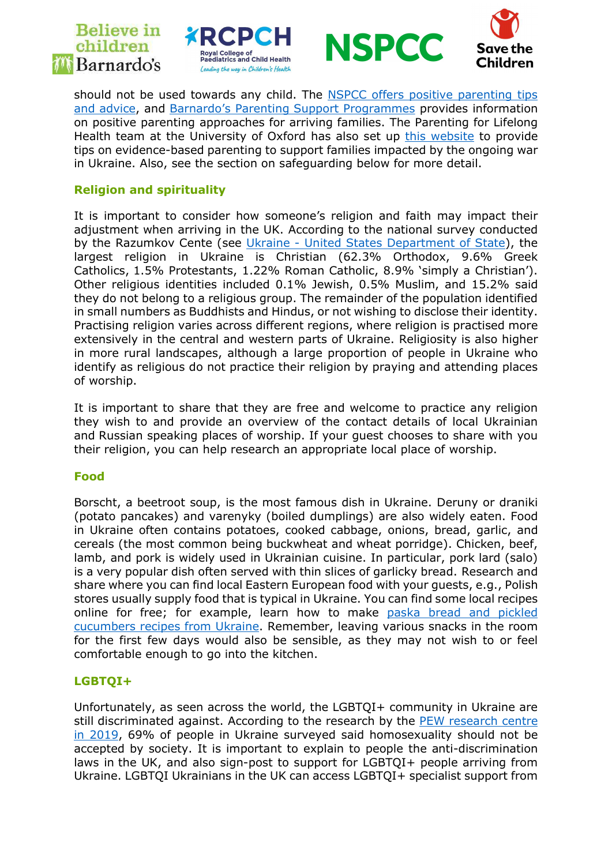# **Believe** in children *MBarnardo's*







should not be used towards any child. The NSPCC offers positive parenting tips and advice, and Barnardo's Parenting Support Programmes provides information on positive parenting approaches for arriving families. The Parenting for Lifelong Health team at the University of Oxford has also set up this website to provide tips on evidence-based parenting to support families impacted by the ongoing war in Ukraine. Also, see the section on safeguarding below for more detail.

### Religion and spirituality

It is important to consider how someone's religion and faith may impact their adjustment when arriving in the UK. According to the national survey conducted by the Razumkov Cente (see Ukraine - United States Department of State), the largest religion in Ukraine is Christian (62.3% Orthodox, 9.6% Greek Catholics, 1.5% Protestants, 1.22% Roman Catholic, 8.9% 'simply a Christian'). Other religious identities included 0.1% Jewish, 0.5% Muslim, and 15.2% said they do not belong to a religious group. The remainder of the population identified in small numbers as Buddhists and Hindus, or not wishing to disclose their identity. Practising religion varies across different regions, where religion is practised more extensively in the central and western parts of Ukraine. Religiosity is also higher in more rural landscapes, although a large proportion of people in Ukraine who identify as religious do not practice their religion by praying and attending places of worship.

It is important to share that they are free and welcome to practice any religion they wish to and provide an overview of the contact details of local Ukrainian and Russian speaking places of worship. If your guest chooses to share with you their religion, you can help research an appropriate local place of worship.

#### Food

Borscht, a beetroot soup, is the most famous dish in Ukraine. Deruny or draniki (potato pancakes) and varenyky (boiled dumplings) are also widely eaten. Food in Ukraine often contains potatoes, cooked cabbage, onions, bread, garlic, and cereals (the most common being buckwheat and wheat porridge). Chicken, beef, lamb, and pork is widely used in Ukrainian cuisine. In particular, pork lard (salo) is a very popular dish often served with thin slices of garlicky bread. Research and share where you can find local Eastern European food with your guests, e.g., Polish stores usually supply food that is typical in Ukraine. You can find some local recipes online for free; for example, learn how to make paska bread and pickled cucumbers recipes from Ukraine. Remember, leaving various snacks in the room for the first few days would also be sensible, as they may not wish to or feel comfortable enough to go into the kitchen.

## LGBTQI+

Unfortunately, as seen across the world, the LGBTQI+ community in Ukraine are still discriminated against. According to the research by the PEW research centre in 2019, 69% of people in Ukraine surveyed said homosexuality should not be accepted by society. It is important to explain to people the anti-discrimination laws in the UK, and also sign-post to support for LGBTQI+ people arriving from Ukraine. LGBTQI Ukrainians in the UK can access LGBTQI+ specialist support from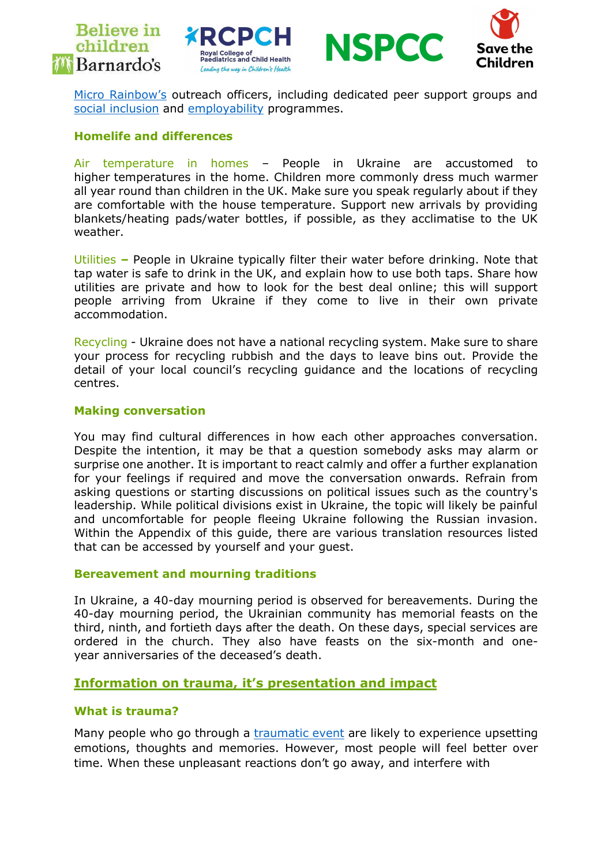







Micro Rainbow's outreach officers, including dedicated peer support groups and social inclusion and employability programmes.

#### Homelife and differences

Air temperature in homes – People in Ukraine are accustomed to higher temperatures in the home. Children more commonly dress much warmer all year round than children in the UK. Make sure you speak regularly about if they are comfortable with the house temperature. Support new arrivals by providing blankets/heating pads/water bottles, if possible, as they acclimatise to the UK weather.

Utilities – People in Ukraine typically filter their water before drinking. Note that tap water is safe to drink in the UK, and explain how to use both taps. Share how utilities are private and how to look for the best deal online; this will support people arriving from Ukraine if they come to live in their own private accommodation.

Recycling - Ukraine does not have a national recycling system. Make sure to share your process for recycling rubbish and the days to leave bins out. Provide the detail of your local council's recycling guidance and the locations of recycling centres.

#### Making conversation

You may find cultural differences in how each other approaches conversation. Despite the intention, it may be that a question somebody asks may alarm or surprise one another. It is important to react calmly and offer a further explanation for your feelings if required and move the conversation onwards. Refrain from asking questions or starting discussions on political issues such as the country's leadership. While political divisions exist in Ukraine, the topic will likely be painful and uncomfortable for people fleeing Ukraine following the Russian invasion. Within the Appendix of this guide, there are various translation resources listed that can be accessed by yourself and your guest.

#### Bereavement and mourning traditions

In Ukraine, a 40-day mourning period is observed for bereavements. During the 40-day mourning period, the Ukrainian community has memorial feasts on the third, ninth, and fortieth days after the death. On these days, special services are ordered in the church. They also have feasts on the six-month and oneyear anniversaries of the deceased's death.

#### Information on trauma, it's presentation and impact

#### What is trauma?

Many people who go through a traumatic event are likely to experience upsetting emotions, thoughts and memories. However, most people will feel better over time. When these unpleasant reactions don't go away, and interfere with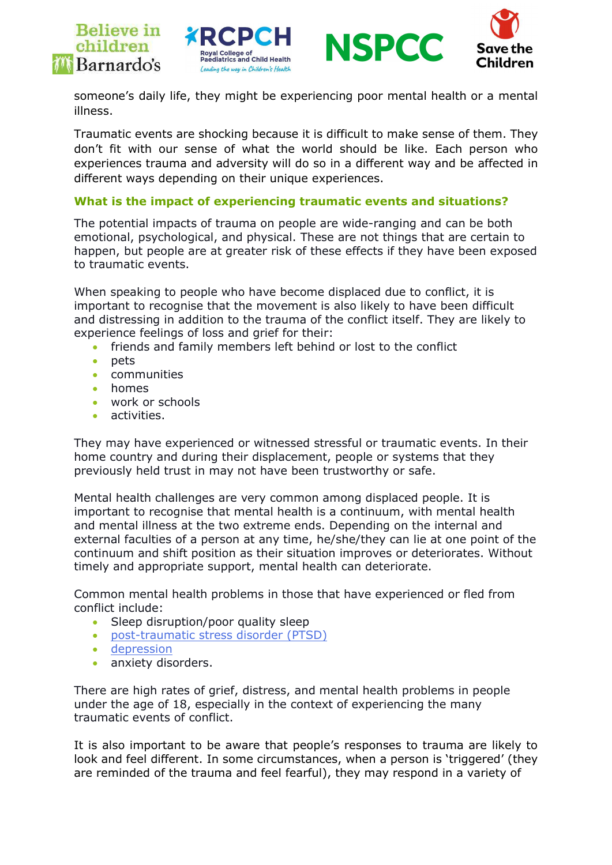







someone's daily life, they might be experiencing poor mental health or a mental illness.

Traumatic events are shocking because it is difficult to make sense of them. They don't fit with our sense of what the world should be like. Each person who experiences trauma and adversity will do so in a different way and be affected in different ways depending on their unique experiences.

### What is the impact of experiencing traumatic events and situations?

The potential impacts of trauma on people are wide-ranging and can be both emotional, psychological, and physical. These are not things that are certain to happen, but people are at greater risk of these effects if they have been exposed to traumatic events.

When speaking to people who have become displaced due to conflict, it is important to recognise that the movement is also likely to have been difficult and distressing in addition to the trauma of the conflict itself. They are likely to experience feelings of loss and grief for their:

- friends and family members left behind or lost to the conflict
- $\bullet$  pets
- communities
- homes
- work or schools
- activities.

They may have experienced or witnessed stressful or traumatic events. In their home country and during their displacement, people or systems that they previously held trust in may not have been trustworthy or safe.

Mental health challenges are very common among displaced people. It is important to recognise that mental health is a continuum, with mental health and mental illness at the two extreme ends. Depending on the internal and external faculties of a person at any time, he/she/they can lie at one point of the continuum and shift position as their situation improves or deteriorates. Without timely and appropriate support, mental health can deteriorate.

Common mental health problems in those that have experienced or fled from conflict include:

- Sleep disruption/poor quality sleep
- post-traumatic stress disorder (PTSD)
- depression
- **anxiety disorders.**

There are high rates of grief, distress, and mental health problems in people under the age of 18, especially in the context of experiencing the many traumatic events of conflict.

It is also important to be aware that people's responses to trauma are likely to look and feel different. In some circumstances, when a person is 'triggered' (they are reminded of the trauma and feel fearful), they may respond in a variety of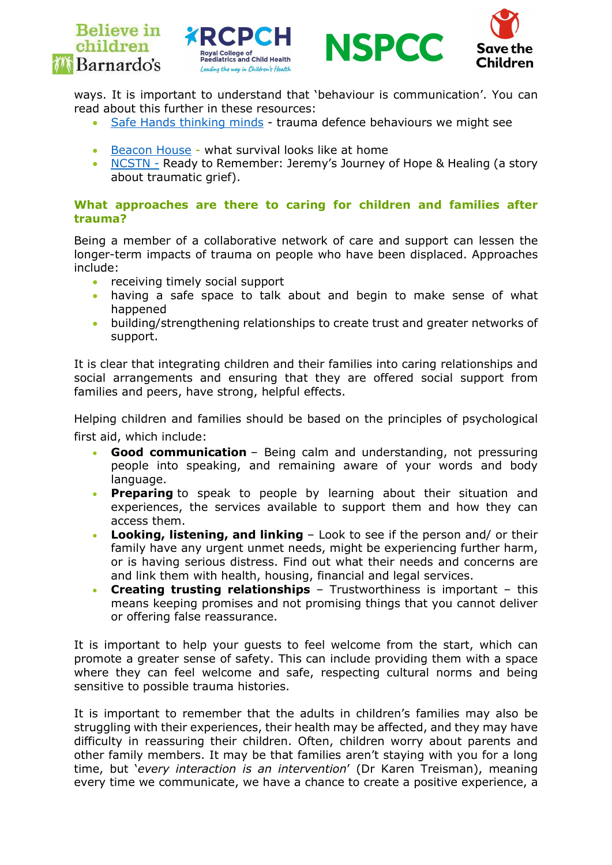







ways. It is important to understand that 'behaviour is communication'. You can read about this further in these resources:

- Safe Hands thinking minds trauma defence behaviours we might see
- Beacon House what survival looks like at home
- NCSTN Ready to Remember: Jeremy's Journey of Hope & Healing (a story about traumatic grief).

#### What approaches are there to caring for children and families after trauma?

Being a member of a collaborative network of care and support can lessen the longer-term impacts of trauma on people who have been displaced. Approaches include:

- receiving timely social support
- having a safe space to talk about and begin to make sense of what happened
- building/strengthening relationships to create trust and greater networks of support.

It is clear that integrating children and their families into caring relationships and social arrangements and ensuring that they are offered social support from families and peers, have strong, helpful effects.

Helping children and families should be based on the principles of psychological first aid, which include:

- Good communication Being calm and understanding, not pressuring people into speaking, and remaining aware of your words and body language.
- **Preparing** to speak to people by learning about their situation and experiences, the services available to support them and how they can access them.
- Looking, listening, and linking Look to see if the person and/ or their family have any urgent unmet needs, might be experiencing further harm, or is having serious distress. Find out what their needs and concerns are and link them with health, housing, financial and legal services.
- Creating trusting relationships Trustworthiness is important this means keeping promises and not promising things that you cannot deliver or offering false reassurance.

It is important to help your guests to feel welcome from the start, which can promote a greater sense of safety. This can include providing them with a space where they can feel welcome and safe, respecting cultural norms and being sensitive to possible trauma histories.

It is important to remember that the adults in children's families may also be struggling with their experiences, their health may be affected, and they may have difficulty in reassuring their children. Often, children worry about parents and other family members. It may be that families aren't staying with you for a long time, but 'every interaction is an intervention' (Dr Karen Treisman), meaning every time we communicate, we have a chance to create a positive experience, a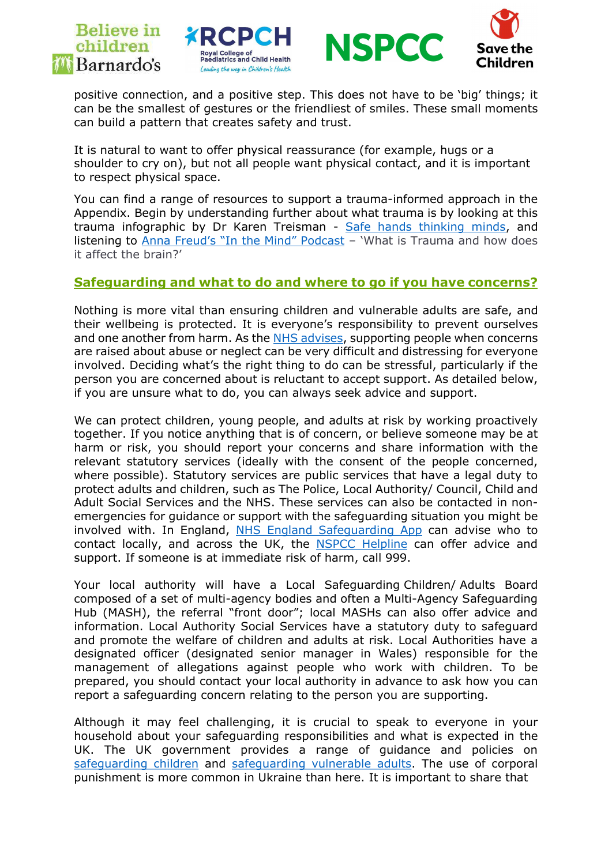





positive connection, and a positive step. This does not have to be 'big' things; it can be the smallest of gestures or the friendliest of smiles. These small moments can build a pattern that creates safety and trust.

It is natural to want to offer physical reassurance (for example, hugs or a shoulder to cry on), but not all people want physical contact, and it is important to respect physical space.

You can find a range of resources to support a trauma-informed approach in the Appendix. Begin by understanding further about what trauma is by looking at this trauma infographic by Dr Karen Treisman - Safe hands thinking minds, and listening to Anna Freud's "In the Mind" Podcast – 'What is Trauma and how does it affect the brain?'

## Safeguarding and what to do and where to go if you have concerns?

Nothing is more vital than ensuring children and vulnerable adults are safe, and their wellbeing is protected. It is everyone's responsibility to prevent ourselves and one another from harm. As the NHS advises, supporting people when concerns are raised about abuse or neglect can be very difficult and distressing for everyone involved. Deciding what's the right thing to do can be stressful, particularly if the person you are concerned about is reluctant to accept support. As detailed below, if you are unsure what to do, you can always seek advice and support.

We can protect children, young people, and adults at risk by working proactively together. If you notice anything that is of concern, or believe someone may be at harm or risk, you should report your concerns and share information with the relevant statutory services (ideally with the consent of the people concerned, where possible). Statutory services are public services that have a legal duty to protect adults and children, such as The Police, Local Authority/ Council, Child and Adult Social Services and the NHS. These services can also be contacted in nonemergencies for guidance or support with the safeguarding situation you might be involved with. In England, NHS England Safeguarding App can advise who to contact locally, and across the UK, the NSPCC Helpline can offer advice and support. If someone is at immediate risk of harm, call 999.

Your local authority will have a Local Safeguarding Children/ Adults Board composed of a set of multi-agency bodies and often a Multi-Agency Safeguarding Hub (MASH), the referral "front door"; local MASHs can also offer advice and information. Local Authority Social Services have a statutory duty to safeguard and promote the welfare of children and adults at risk. Local Authorities have a designated officer (designated senior manager in Wales) responsible for the management of allegations against people who work with children. To be prepared, you should contact your local authority in advance to ask how you can report a safeguarding concern relating to the person you are supporting.

Although it may feel challenging, it is crucial to speak to everyone in your household about your safeguarding responsibilities and what is expected in the UK. The UK government provides a range of guidance and policies on safeguarding children and safeguarding vulnerable adults. The use of corporal punishment is more common in Ukraine than here. It is important to share that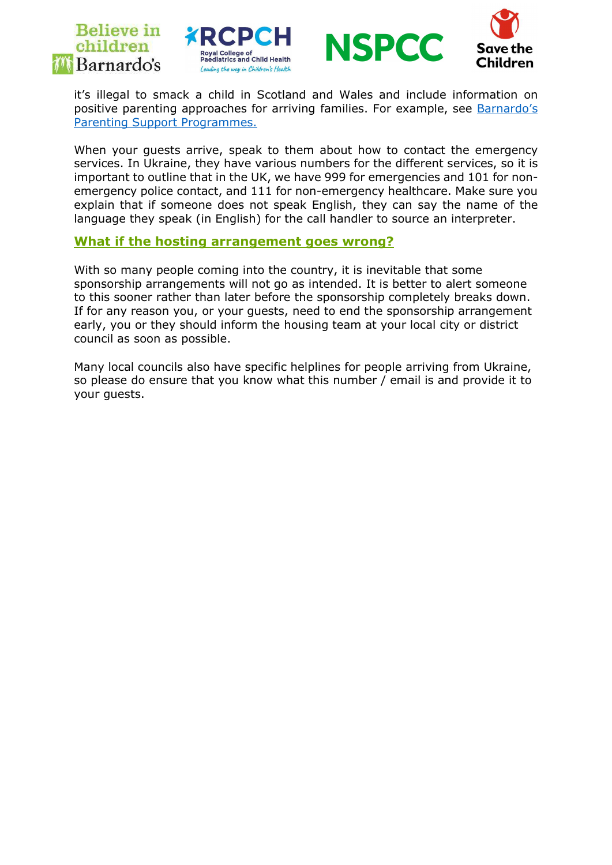





Children

it's illegal to smack a child in Scotland and Wales and include information on positive parenting approaches for arriving families. For example, see Barnardo's Parenting Support Programmes.

When your guests arrive, speak to them about how to contact the emergency services. In Ukraine, they have various numbers for the different services, so it is important to outline that in the UK, we have 999 for emergencies and 101 for nonemergency police contact, and 111 for non-emergency healthcare. Make sure you explain that if someone does not speak English, they can say the name of the language they speak (in English) for the call handler to source an interpreter.

#### What if the hosting arrangement goes wrong?

With so many people coming into the country, it is inevitable that some sponsorship arrangements will not go as intended. It is better to alert someone to this sooner rather than later before the sponsorship completely breaks down. If for any reason you, or your guests, need to end the sponsorship arrangement early, you or they should inform the housing team at your local city or district council as soon as possible.

Many local councils also have specific helplines for people arriving from Ukraine, so please do ensure that you know what this number / email is and provide it to your guests.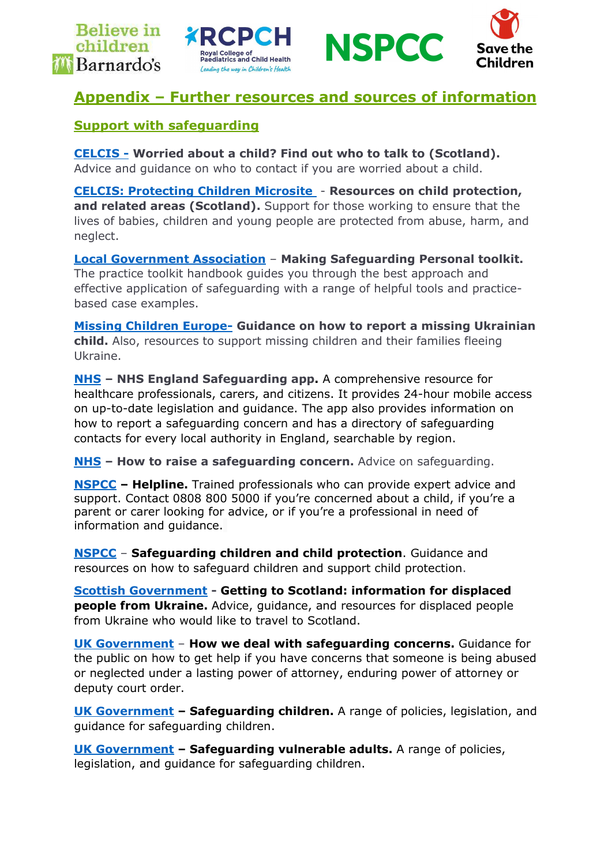







# Appendix – Further resources and sources of information

## Support with safeguarding

CELCIS - Worried about a child? Find out who to talk to (Scotland). Advice and guidance on who to contact if you are worried about a child.

CELCIS: Protecting Children Microsite - Resources on child protection, and related areas (Scotland). Support for those working to ensure that the lives of babies, children and young people are protected from abuse, harm, and neglect.

Local Government Association – Making Safeguarding Personal toolkit. The practice toolkit handbook guides you through the best approach and effective application of safeguarding with a range of helpful tools and practicebased case examples.

**Missing Children Europe- Guidance on how to report a missing Ukrainian** child. Also, resources to support missing children and their families fleeing Ukraine.

NHS – NHS England Safeguarding app. A comprehensive resource for healthcare professionals, carers, and citizens. It provides 24-hour mobile access on up-to-date legislation and guidance. The app also provides information on how to report a safeguarding concern and has a directory of safeguarding contacts for every local authority in England, searchable by region.

NHS - How to raise a safeguarding concern. Advice on safeguarding.

NSPCC – Helpline. Trained professionals who can provide expert advice and support. Contact 0808 800 5000 if you're concerned about a child, if you're a parent or carer looking for advice, or if you're a professional in need of information and guidance.

NSPCC – Safeguarding children and child protection. Guidance and resources on how to safeguard children and support child protection.

Scottish Government - Getting to Scotland: information for displaced **people from Ukraine.** Advice, quidance, and resources for displaced people from Ukraine who would like to travel to Scotland.

UK Government - How we deal with safeguarding concerns. Guidance for the public on how to get help if you have concerns that someone is being abused or neglected under a lasting power of attorney, enduring power of attorney or deputy court order.

UK Government - Safeguarding children. A range of policies, legislation, and guidance for safeguarding children.

UK Government – Safequarding vulnerable adults. A range of policies, legislation, and guidance for safeguarding children.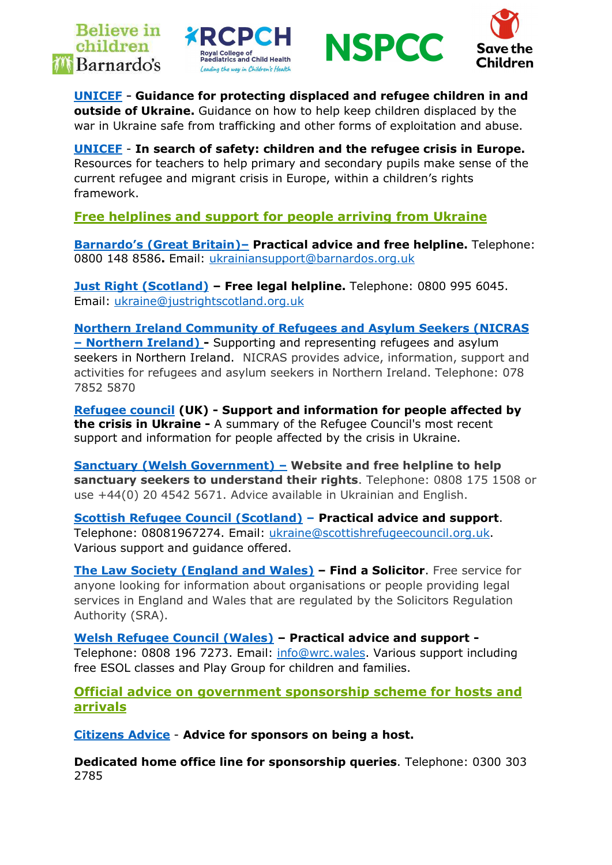







UNICEF - Guidance for protecting displaced and refugee children in and **outside of Ukraine.** Guidance on how to help keep children displaced by the war in Ukraine safe from trafficking and other forms of exploitation and abuse.

UNICEF - In search of safety: children and the refugee crisis in Europe. Resources for teachers to help primary and secondary pupils make sense of the current refugee and migrant crisis in Europe, within a children's rights framework.

Free helplines and support for people arriving from Ukraine

Barnardo's (Great Britain)– Practical advice and free helpline. Telephone: 0800 148 8586. Email: ukrainiansupport@barnardos.org.uk

Just Right (Scotland) - Free legal helpline. Telephone: 0800 995 6045. Email: ukraine@justrightscotland.org.uk

Northern Ireland Community of Refugees and Asylum Seekers (NICRAS – Northern Ireland) - Supporting and representing refugees and asylum seekers in Northern Ireland. NICRAS provides advice, information, support and activities for refugees and asylum seekers in Northern Ireland. Telephone: 078 7852 5870

Refugee council (UK) - Support and information for people affected by **the crisis in Ukraine -** A summary of the Refugee Council's most recent support and information for people affected by the crisis in Ukraine.

Sanctuary (Welsh Government) – Website and free helpline to help sanctuary seekers to understand their rights. Telephone: 0808 175 1508 or use +44(0) 20 4542 5671. Advice available in Ukrainian and English.

Scottish Refugee Council (Scotland) – Practical advice and support. Telephone: 08081967274. Email: ukraine@scottishrefugeecouncil.org.uk. Various support and guidance offered.

The Law Society (England and Wales) – Find a Solicitor. Free service for anyone looking for information about organisations or people providing legal services in England and Wales that are regulated by the Solicitors Regulation Authority (SRA).

Welsh Refugee Council (Wales) – Practical advice and support - Telephone: 0808 196 7273. Email: info@wrc.wales. Various support including free ESOL classes and Play Group for children and families.

Official advice on government sponsorship scheme for hosts and arrivals

Citizens Advice - Advice for sponsors on being a host.

Dedicated home office line for sponsorship queries. Telephone: 0300 303 2785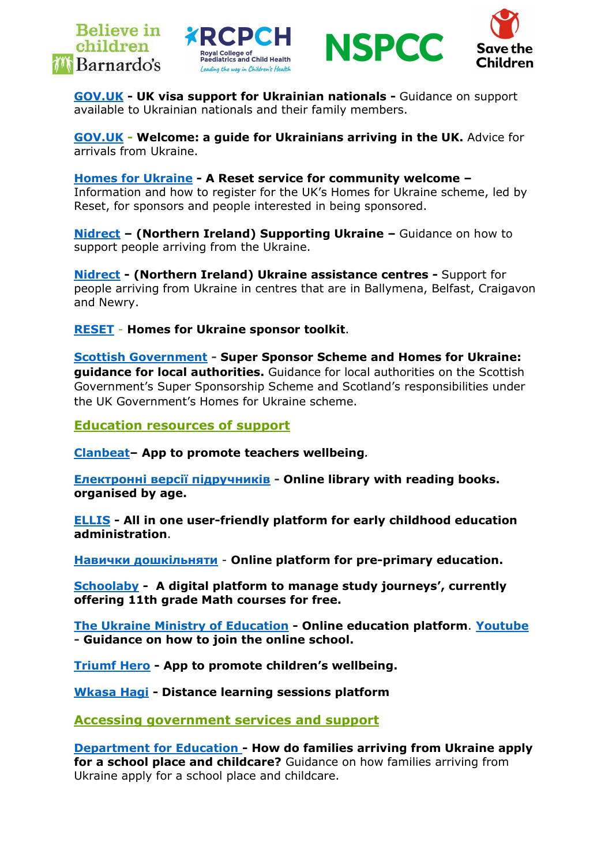







GOV.UK - UK visa support for Ukrainian nationals - Guidance on support available to Ukrainian nationals and their family members.

GOV.UK - Welcome: a guide for Ukrainians arriving in the UK. Advice for arrivals from Ukraine.

Homes for Ukraine - A Reset service for community welcome – Information and how to register for the UK's Homes for Ukraine scheme, led by Reset, for sponsors and people interested in being sponsored.

Nidrect – (Northern Ireland) Supporting Ukraine – Guidance on how to support people arriving from the Ukraine.

Nidrect - (Northern Ireland) Ukraine assistance centres - Support for people arriving from Ukraine in centres that are in Ballymena, Belfast, Craigavon and Newry.

RESET - Homes for Ukraine sponsor toolkit.

Scottish Government - Super Sponsor Scheme and Homes for Ukraine: guidance for local authorities. Guidance for local authorities on the Scottish Government's Super Sponsorship Scheme and Scotland's responsibilities under the UK Government's Homes for Ukraine scheme.

Education resources of support

Clanbeat– App to promote teachers wellbeing.

Електронні версії підручників - Online library with reading books. organised by age. 

ELLIS - All in one user-friendly platform for early childhood education administration. 

Навички дошкільняти - Online platform for pre-primary education. 

Schoolaby - A digital platform to manage study journeys', currently offering 11th grade Math courses for free.

The Ukraine Ministry of Education - Online education platform. Youtube - Guidance on how to join the online school.

Triumf Hero - App to promote children's wellbeing. 

Wkasa Hagi - Distance learning sessions platform

Accessing government services and support

Department for Education - How do families arriving from Ukraine apply for a school place and childcare? Guidance on how families arriving from Ukraine apply for a school place and childcare.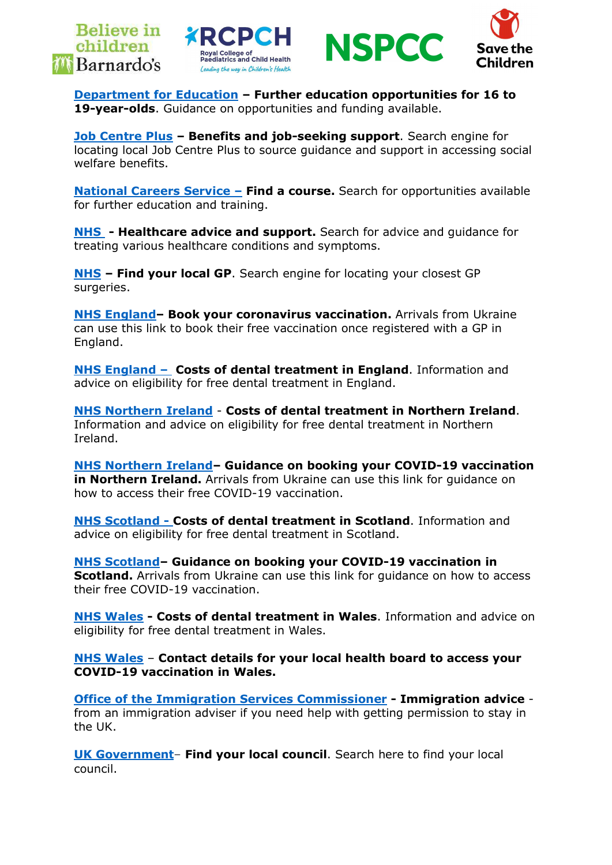







Department for Education – Further education opportunities for 16 to 19-vear-olds. Guidance on opportunities and funding available.

Job Centre Plus - Benefits and job-seeking support. Search engine for locating local Job Centre Plus to source guidance and support in accessing social welfare benefits.

National Careers Service - Find a course. Search for opportunities available for further education and training.

**NHS** - Healthcare advice and support. Search for advice and quidance for treating various healthcare conditions and symptoms.

NHS – Find your local GP. Search engine for locating your closest GP surgeries.

NHS England- Book your coronavirus vaccination. Arrivals from Ukraine can use this link to book their free vaccination once registered with a GP in England.

NHS England – Costs of dental treatment in England. Information and advice on eligibility for free dental treatment in England.

NHS Northern Ireland - Costs of dental treatment in Northern Ireland. Information and advice on eligibility for free dental treatment in Northern Ireland.

NHS Northern Ireland– Guidance on booking your COVID-19 vaccination **in Northern Ireland.** Arrivals from Ukraine can use this link for quidance on how to access their free COVID-19 vaccination.

NHS Scotland - Costs of dental treatment in Scotland. Information and advice on eligibility for free dental treatment in Scotland.

NHS Scotland– Guidance on booking your COVID-19 vaccination in **Scotland.** Arrivals from Ukraine can use this link for quidance on how to access their free COVID-19 vaccination.

NHS Wales - Costs of dental treatment in Wales. Information and advice on eligibility for free dental treatment in Wales.

NHS Wales – Contact details for your local health board to access your COVID-19 vaccination in Wales.

Office of the Immigration Services Commissioner - Immigration advice from an immigration adviser if you need help with getting permission to stay in the UK.

UK Government– Find your local council. Search here to find your local council.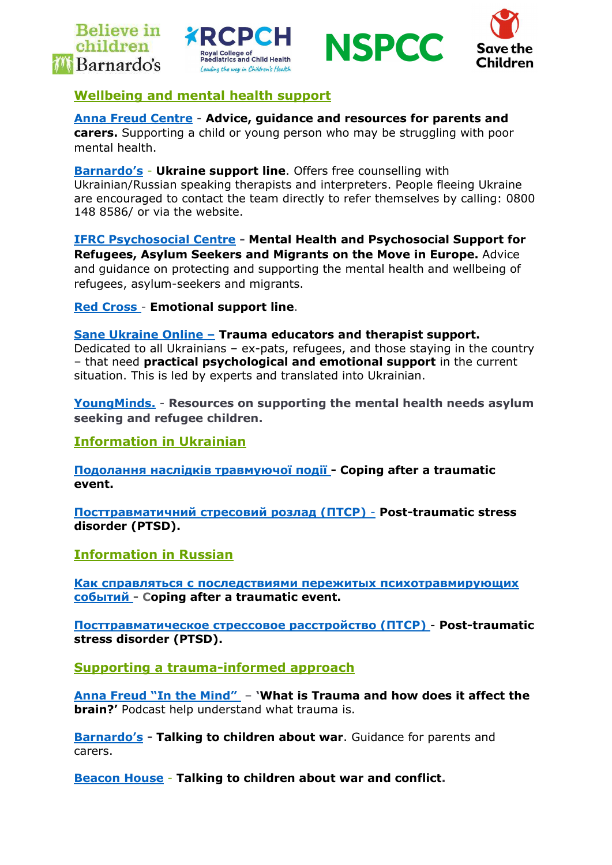







## Wellbeing and mental health support

## Anna Freud Centre - Advice, guidance and resources for parents and

carers. Supporting a child or young person who may be struggling with poor mental health.

**Barnardo's - Ukraine support line.** Offers free counselling with Ukrainian/Russian speaking therapists and interpreters. People fleeing Ukraine are encouraged to contact the team directly to refer themselves by calling: 0800 148 8586/ or via the website.

IFRC Psychosocial Centre - Mental Health and Psychosocial Support for Refugees, Asylum Seekers and Migrants on the Move in Europe. Advice and guidance on protecting and supporting the mental health and wellbeing of refugees, asylum-seekers and migrants.

Red Cross - Emotional support line.

#### Sane Ukraine Online – Trauma educators and therapist support.

Dedicated to all Ukrainians – ex-pats, refugees, and those staying in the country – that need practical psychological and emotional support in the current situation. This is led by experts and translated into Ukrainian.

YoungMinds. - Resources on supporting the mental health needs asylum seeking and refugee children.

Information in Ukrainian

Подолання наслідків травмуючої події - Coping after a traumatic event.

Посттравматичний стресовий розлад (ПТСР) - Post-traumatic stress disorder (PTSD).

Information in Russian

Как справляться с последствиями пережитых психотравмирующих событий - Coping after a traumatic event.

Посттравматическое стрессовое расстройство (ПТСР) - Post-traumatic stress disorder (PTSD).

Supporting a trauma-informed approach

Anna Freud "In the Mind" – 'What is Trauma and how does it affect the **brain?'** Podcast help understand what trauma is.

Barnardo's - Talking to children about war. Guidance for parents and carers.

Beacon House - Talking to children about war and conflict.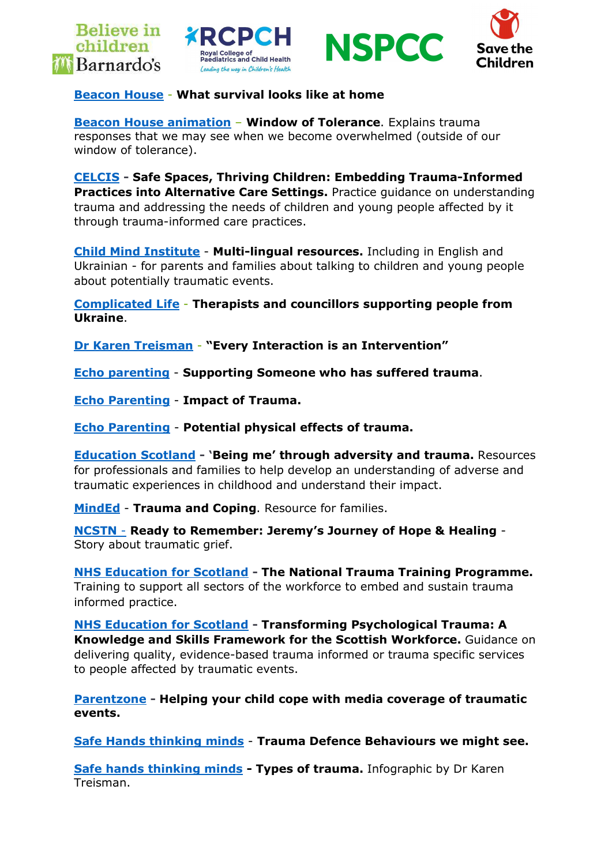







#### **Beacon House - What survival looks like at home**

Beacon House animation – Window of Tolerance. Explains trauma responses that we may see when we become overwhelmed (outside of our window of tolerance).

CELCIS - Safe Spaces, Thriving Children: Embedding Trauma-Informed Practices into Alternative Care Settings. Practice guidance on understanding trauma and addressing the needs of children and young people affected by it through trauma-informed care practices.

Child Mind Institute - Multi-lingual resources. Including in English and Ukrainian - for parents and families about talking to children and young people about potentially traumatic events.

Complicated Life - Therapists and councillors supporting people from Ukraine.

Dr Karen Treisman - "Every Interaction is an Intervention"

Echo parenting - Supporting Someone who has suffered trauma.

Echo Parenting - Impact of Trauma.

Echo Parenting - Potential physical effects of trauma.

Education Scotland - 'Being me' through adversity and trauma. Resources for professionals and families to help develop an understanding of adverse and traumatic experiences in childhood and understand their impact.

MindEd - Trauma and Coping. Resource for families.

NCSTN - Ready to Remember: Jeremy's Journey of Hope & Healing - Story about traumatic grief.

NHS Education for Scotland - The National Trauma Training Programme. Training to support all sectors of the workforce to embed and sustain trauma informed practice.

NHS Education for Scotland - Transforming Psychological Trauma: A Knowledge and Skills Framework for the Scottish Workforce. Guidance on delivering quality, evidence-based trauma informed or trauma specific services to people affected by traumatic events.

Parentzone - Helping your child cope with media coverage of traumatic events.

Safe Hands thinking minds - Trauma Defence Behaviours we might see.

Safe hands thinking minds - Types of trauma. Infographic by Dr Karen Treisman.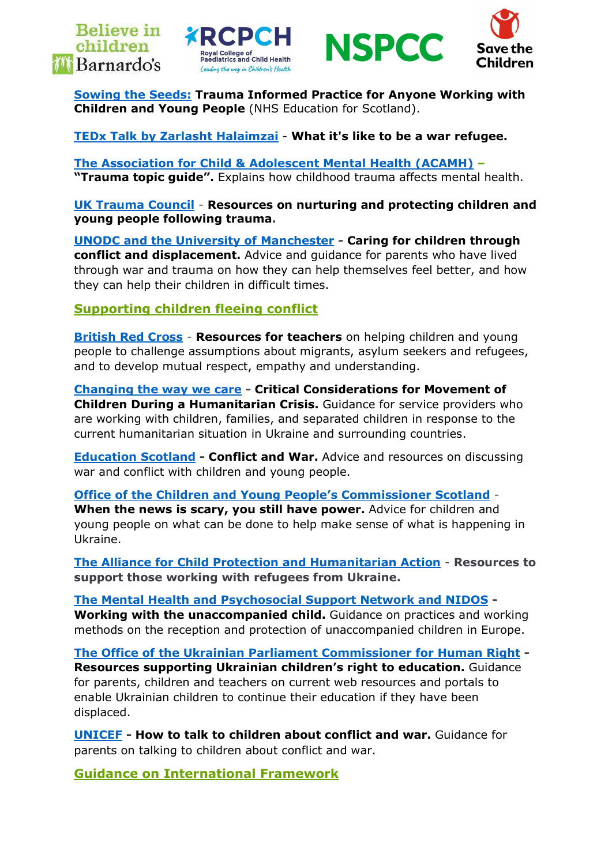







Sowing the Seeds: Trauma Informed Practice for Anyone Working with Children and Young People (NHS Education for Scotland).

TEDx Talk by Zarlasht Halaimzai - What it's like to be a war refugee.

The Association for Child & Adolescent Mental Health (ACAMH) – "Trauma topic guide". Explains how childhood trauma affects mental health.

UK Trauma Council - Resources on nurturing and protecting children and young people following trauma.

UNODC and the University of Manchester - Caring for children through conflict and displacement. Advice and guidance for parents who have lived through war and trauma on how they can help themselves feel better, and how they can help their children in difficult times.

Supporting children fleeing conflict

British Red Cross - Resources for teachers on helping children and young people to challenge assumptions about migrants, asylum seekers and refugees, and to develop mutual respect, empathy and understanding.

Changing the way we care - Critical Considerations for Movement of Children During a Humanitarian Crisis. Guidance for service providers who are working with children, families, and separated children in response to the current humanitarian situation in Ukraine and surrounding countries.

Education Scotland - Conflict and War. Advice and resources on discussing war and conflict with children and young people.

Office of the Children and Young People's Commissioner Scotland -

When the news is scary, you still have power. Advice for children and young people on what can be done to help make sense of what is happening in Ukraine.

The Alliance for Child Protection and Humanitarian Action - Resources to support those working with refugees from Ukraine.

The Mental Health and Psychosocial Support Network and NIDOS - Working with the unaccompanied child. Guidance on practices and working methods on the reception and protection of unaccompanied children in Europe.

The Office of the Ukrainian Parliament Commissioner for Human Right - Resources supporting Ukrainian children's right to education. Guidance for parents, children and teachers on current web resources and portals to enable Ukrainian children to continue their education if they have been displaced.

UNICEF - How to talk to children about conflict and war. Guidance for parents on talking to children about conflict and war.

Guidance on International Framework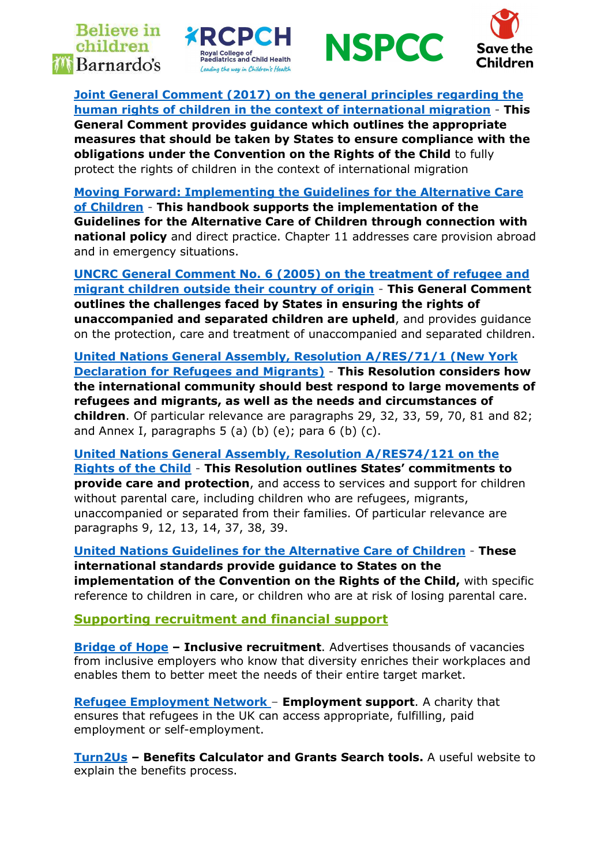**Believe in** children *M* Barnardo's







Joint General Comment (2017) on the general principles regarding the human rights of children in the context of international migration - This General Comment provides guidance which outlines the appropriate measures that should be taken by States to ensure compliance with the

obligations under the Convention on the Rights of the Child to fully protect the rights of children in the context of international migration

Moving Forward: Implementing the Guidelines for the Alternative Care of Children - This handbook supports the implementation of the Guidelines for the Alternative Care of Children through connection with national policy and direct practice. Chapter 11 addresses care provision abroad and in emergency situations.

UNCRC General Comment No. 6 (2005) on the treatment of refugee and migrant children outside their country of origin - This General Comment outlines the challenges faced by States in ensuring the rights of unaccompanied and separated children are upheld, and provides guidance on the protection, care and treatment of unaccompanied and separated children.

United Nations General Assembly, Resolution A/RES/71/1 (New York Declaration for Refugees and Migrants) - This Resolution considers how the international community should best respond to large movements of refugees and migrants, as well as the needs and circumstances of children. Of particular relevance are paragraphs 29, 32, 33, 59, 70, 81 and 82; and Annex I, paragraphs  $5$  (a) (b) (e); para  $6$  (b) (c).

United Nations General Assembly, Resolution A/RES74/121 on the Rights of the Child - This Resolution outlines States' commitments to provide care and protection, and access to services and support for children without parental care, including children who are refugees, migrants, unaccompanied or separated from their families. Of particular relevance are paragraphs 9, 12, 13, 14, 37, 38, 39.

United Nations Guidelines for the Alternative Care of Children - These international standards provide guidance to States on the implementation of the Convention on the Rights of the Child, with specific reference to children in care, or children who are at risk of losing parental care.

Supporting recruitment and financial support

**Bridge of Hope - Inclusive recruitment**. Advertises thousands of vacancies from inclusive employers who know that diversity enriches their workplaces and enables them to better meet the needs of their entire target market.

Refugee Employment Network – Employment support. A charity that ensures that refugees in the UK can access appropriate, fulfilling, paid employment or self-employment.

Turn2Us – Benefits Calculator and Grants Search tools. A useful website to explain the benefits process.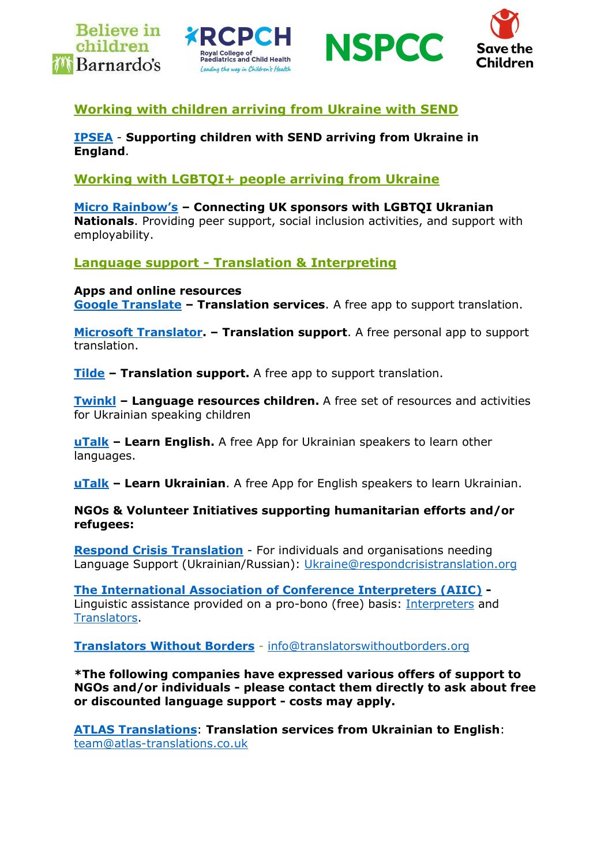







# Working with children arriving from Ukraine with SEND

IPSEA - Supporting children with SEND arriving from Ukraine in England.

Working with LGBTQI+ people arriving from Ukraine

Micro Rainbow's - Connecting UK sponsors with LGBTQI Ukranian Nationals. Providing peer support, social inclusion activities, and support with employability.

Language support - Translation & Interpreting

Apps and online resources Google Translate – Translation services. A free app to support translation.

Microsoft Translator. - Translation support. A free personal app to support translation.

Tilde – Translation support. A free app to support translation.

Twinkl – Language resources children. A free set of resources and activities for Ukrainian speaking children

uTalk – Learn English. A free App for Ukrainian speakers to learn other languages.

uTalk – Learn Ukrainian. A free App for English speakers to learn Ukrainian.

NGOs & Volunteer Initiatives supporting humanitarian efforts and/or refugees:

Respond Crisis Translation - For individuals and organisations needing Language Support (Ukrainian/Russian): Ukraine@respondcrisistranslation.org

The International Association of Conference Interpreters (AIIC) - Linguistic assistance provided on a pro-bono (free) basis: Interpreters and Translators.

Translators Without Borders - info@translatorswithoutborders.org

\*The following companies have expressed various offers of support to NGOs and/or individuals - please contact them directly to ask about free or discounted language support - costs may apply.

ATLAS Translations: Translation services from Ukrainian to English: team@atlas-translations.co.uk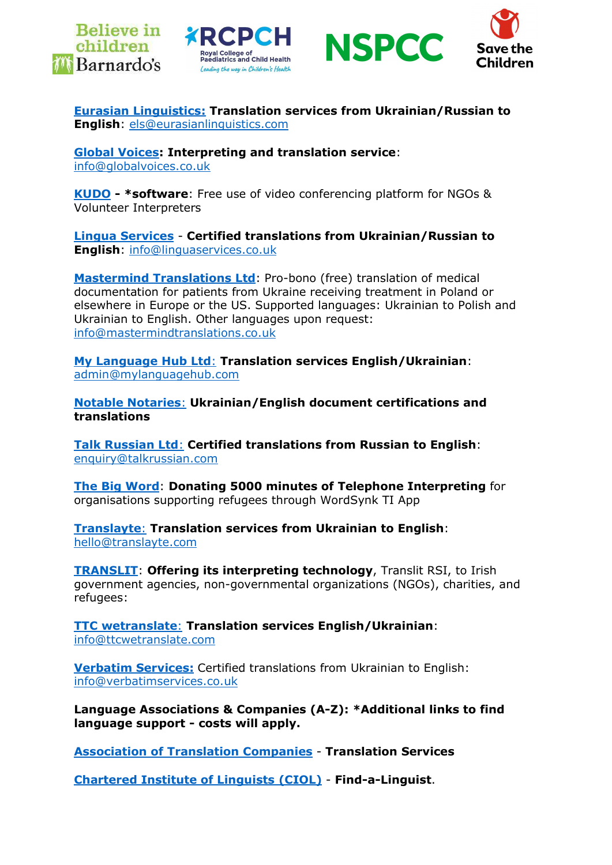







Eurasian Linguistics: Translation services from Ukrainian/Russian to English: els@eurasianlinguistics.com

Global Voices: Interpreting and translation service: info@globalvoices.co.uk

KUDO - \*software: Free use of video conferencing platform for NGOs & Volunteer Interpreters

Lingua Services - Certified translations from Ukrainian/Russian to English: info@linguaservices.co.uk

Mastermind Translations Ltd: Pro-bono (free) translation of medical documentation for patients from Ukraine receiving treatment in Poland or elsewhere in Europe or the US. Supported languages: Ukrainian to Polish and Ukrainian to English. Other languages upon request: info@mastermindtranslations.co.uk

My Language Hub Ltd: Translation services English/Ukrainian: admin@mylanguagehub.com

Notable Notaries: Ukrainian/English document certifications and translations

Talk Russian Ltd: Certified translations from Russian to English: enquiry@talkrussian.com

The Big Word: Donating 5000 minutes of Telephone Interpreting for organisations supporting refugees through WordSynk TI App

Translayte: Translation services from Ukrainian to English: hello@translayte.com

TRANSLIT: Offering its interpreting technology, Translit RSI, to Irish government agencies, non-governmental organizations (NGOs), charities, and refugees:

TTC wetranslate: Translation services English/Ukrainian: info@ttcwetranslate.com

Verbatim Services: Certified translations from Ukrainian to English: info@verbatimservices.co.uk

Language Associations & Companies (A-Z): \*Additional links to find language support - costs will apply.

Association of Translation Companies - Translation Services

Chartered Institute of Linguists (CIOL) - Find-a-Linguist.